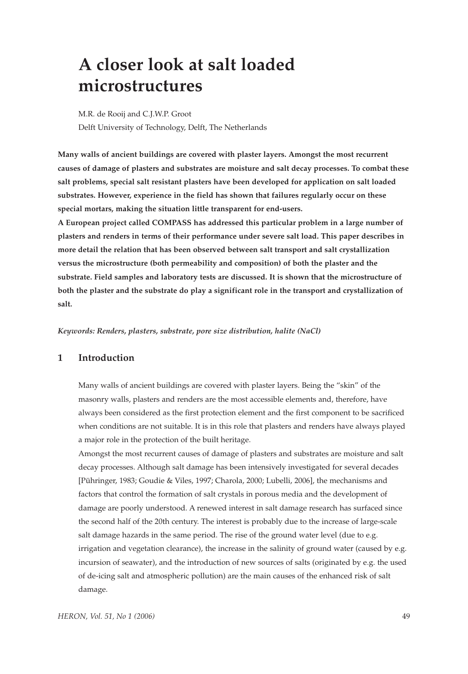# **A closer look at salt loaded microstructures**

M.R. de Rooij and C.J.W.P. Groot Delft University of Technology, Delft, The Netherlands

**Many walls of ancient buildings are covered with plaster layers. Amongst the most recurrent causes of damage of plasters and substrates are moisture and salt decay processes. To combat these salt problems, special salt resistant plasters have been developed for application on salt loaded substrates. However, experience in the field has shown that failures regularly occur on these special mortars, making the situation little transparent for end-users.** 

**A European project called COMPASS has addressed this particular problem in a large number of plasters and renders in terms of their performance under severe salt load. This paper describes in more detail the relation that has been observed between salt transport and salt crystallization versus the microstructure (both permeability and composition) of both the plaster and the substrate. Field samples and laboratory tests are discussed. It is shown that the microstructure of both the plaster and the substrate do play a significant role in the transport and crystallization of salt.**

*Keywords: Renders, plasters, substrate, pore size distribution, halite (NaCl)*

## **1 Introduction**

Many walls of ancient buildings are covered with plaster layers. Being the "skin" of the masonry walls, plasters and renders are the most accessible elements and, therefore, have always been considered as the first protection element and the first component to be sacrificed when conditions are not suitable. It is in this role that plasters and renders have always played a major role in the protection of the built heritage.

Amongst the most recurrent causes of damage of plasters and substrates are moisture and salt decay processes. Although salt damage has been intensively investigated for several decades [Pühringer, 1983; Goudie & Viles, 1997; Charola, 2000; Lubelli, 2006], the mechanisms and factors that control the formation of salt crystals in porous media and the development of damage are poorly understood. A renewed interest in salt damage research has surfaced since the second half of the 20th century. The interest is probably due to the increase of large-scale salt damage hazards in the same period. The rise of the ground water level (due to e.g. irrigation and vegetation clearance), the increase in the salinity of ground water (caused by e.g. incursion of seawater), and the introduction of new sources of salts (originated by e.g. the used of de-icing salt and atmospheric pollution) are the main causes of the enhanced risk of salt damage.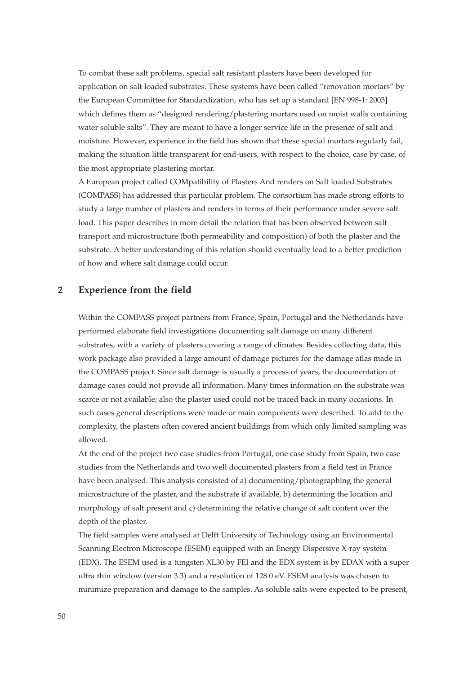To combat these salt problems, special salt resistant plasters have been developed for application on salt loaded substrates. These systems have been called "renovation mortars" by the European Committee for Standardization, who has set up a standard [EN 998-1: 2003] which defines them as "designed rendering/plastering mortars used on moist walls containing water soluble salts". They are meant to have a longer service life in the presence of salt and moisture. However, experience in the field has shown that these special mortars regularly fail, making the situation little transparent for end-users, with respect to the choice, case by case, of the most appropriate plastering mortar.

A European project called COMpatibility of Plasters And renders on Salt loaded Substrates (COMPASS) has addressed this particular problem. The consortium has made strong efforts to study a large number of plasters and renders in terms of their performance under severe salt load. This paper describes in more detail the relation that has been observed between salt transport and microstructure (both permeability and composition) of both the plaster and the substrate. A better understanding of this relation should eventually lead to a better prediction of how and where salt damage could occur.

### **2 Experience from the field**

Within the COMPASS project partners from France, Spain, Portugal and the Netherlands have performed elaborate field investigations documenting salt damage on many different substrates, with a variety of plasters covering a range of climates. Besides collecting data, this work package also provided a large amount of damage pictures for the damage atlas made in the COMPASS project. Since salt damage is usually a process of years, the documentation of damage cases could not provide all information. Many times information on the substrate was scarce or not available; also the plaster used could not be traced back in many occasions. In such cases general descriptions were made or main components were described. To add to the complexity, the plasters often covered ancient buildings from which only limited sampling was allowed.

At the end of the project two case studies from Portugal, one case study from Spain, two case studies from the Netherlands and two well documented plasters from a field test in France have been analysed. This analysis consisted of a) documenting/photographing the general microstructure of the plaster, and the substrate if available, b) determining the location and morphology of salt present and c) determining the relative change of salt content over the depth of the plaster.

The field samples were analysed at Delft University of Technology using an Environmental Scanning Electron Microscope (ESEM) equipped with an Energy Dispersive X-ray system (EDX). The ESEM used is a tungsten XL30 by FEI and the EDX system is by EDAX with a super ultra thin window (version 3.3) and a resolution of 128.0 eV. ESEM analysis was chosen to minimize preparation and damage to the samples. As soluble salts were expected to be present,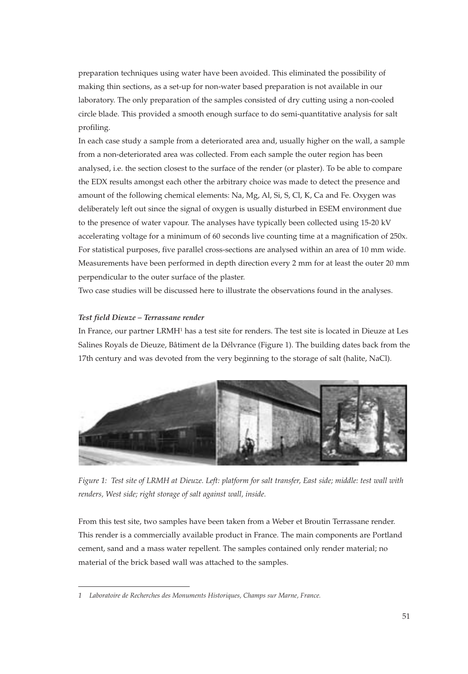preparation techniques using water have been avoided. This eliminated the possibility of making thin sections, as a set-up for non-water based preparation is not available in our laboratory. The only preparation of the samples consisted of dry cutting using a non-cooled circle blade. This provided a smooth enough surface to do semi-quantitative analysis for salt profiling.

In each case study a sample from a deteriorated area and, usually higher on the wall, a sample from a non-deteriorated area was collected. From each sample the outer region has been analysed, i.e. the section closest to the surface of the render (or plaster). To be able to compare the EDX results amongst each other the arbitrary choice was made to detect the presence and amount of the following chemical elements: Na, Mg, Al, Si, S, Cl, K, Ca and Fe. Oxygen was deliberately left out since the signal of oxygen is usually disturbed in ESEM environment due to the presence of water vapour. The analyses have typically been collected using 15-20 kV accelerating voltage for a minimum of 60 seconds live counting time at a magnification of 250x. For statistical purposes, five parallel cross-sections are analysed within an area of 10 mm wide. Measurements have been performed in depth direction every 2 mm for at least the outer 20 mm perpendicular to the outer surface of the plaster.

Two case studies will be discussed here to illustrate the observations found in the analyses.

#### *Test field Dieuze – Terrassane render*

In France, our partner LRMH1 has a test site for renders. The test site is located in Dieuze at Les Salines Royals de Dieuze, Bâtiment de la Délvrance (Figure 1). The building dates back from the 17th century and was devoted from the very beginning to the storage of salt (halite, NaCl).



*Figure 1: Test site of LRMH at Dieuze. Left: platform for salt transfer, East side; middle: test wall with renders, West side; right storage of salt against wall, inside.*

From this test site, two samples have been taken from a Weber et Broutin Terrassane render. This render is a commercially available product in France. The main components are Portland cement, sand and a mass water repellent. The samples contained only render material; no material of the brick based wall was attached to the samples.

*<sup>1</sup> Laboratoire de Recherches des Monuments Historiques, Champs sur Marne, France.*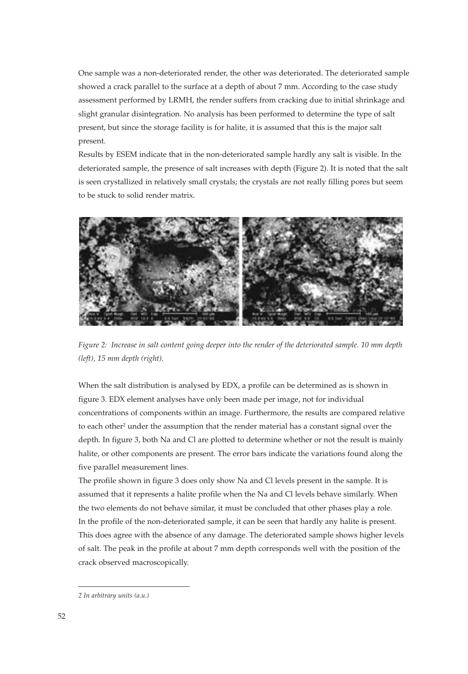One sample was a non-deteriorated render, the other was deteriorated. The deteriorated sample showed a crack parallel to the surface at a depth of about 7 mm. According to the case study assessment performed by LRMH, the render suffers from cracking due to initial shrinkage and slight granular disintegration. No analysis has been performed to determine the type of salt present, but since the storage facility is for halite, it is assumed that this is the major salt present.

Results by ESEM indicate that in the non-deteriorated sample hardly any salt is visible. In the deteriorated sample, the presence of salt increases with depth (Figure 2). It is noted that the salt is seen crystallized in relatively small crystals; the crystals are not really filling pores but seem to be stuck to solid render matrix.



*Figure 2: Increase in salt content going deeper into the render of the deteriorated sample. 10 mm depth (left), 15 mm depth (right).*

When the salt distribution is analysed by EDX, a profile can be determined as is shown in figure 3. EDX element analyses have only been made per image, not for individual concentrations of components within an image. Furthermore, the results are compared relative to each other<sup>2</sup> under the assumption that the render material has a constant signal over the depth. In figure 3, both Na and Cl are plotted to determine whether or not the result is mainly halite, or other components are present. The error bars indicate the variations found along the five parallel measurement lines.

The profile shown in figure 3 does only show Na and Cl levels present in the sample. It is assumed that it represents a halite profile when the Na and Cl levels behave similarly. When the two elements do not behave similar, it must be concluded that other phases play a role. In the profile of the non-deteriorated sample, it can be seen that hardly any halite is present. This does agree with the absence of any damage. The deteriorated sample shows higher levels of salt. The peak in the profile at about 7 mm depth corresponds well with the position of the crack observed macroscopically.

*<sup>2</sup> In arbitrary units (a.u.)*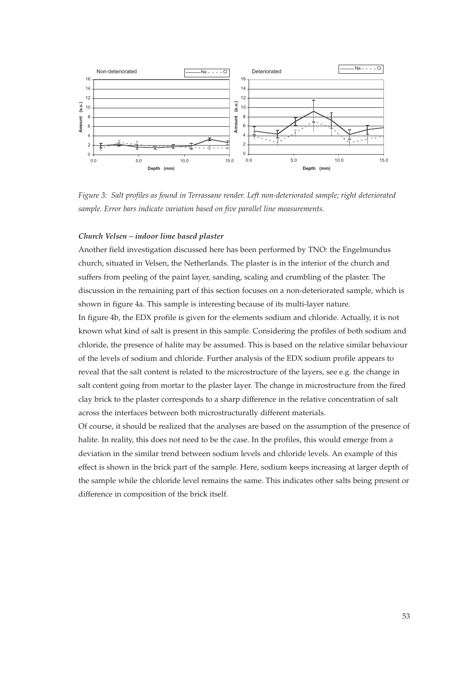

*Figure 3: Salt profiles as found in Terrassane render. Left non-deteriorated sample; right deteriorated sample. Error bars indicate variation based on five parallel line measurements.*

#### *Church Velsen – indoor lime based plaster*

Another field investigation discussed here has been performed by TNO: the Engelmundus church, situated in Velsen, the Netherlands. The plaster is in the interior of the church and suffers from peeling of the paint layer, sanding, scaling and crumbling of the plaster. The discussion in the remaining part of this section focuses on a non-deteriorated sample, which is shown in figure 4a. This sample is interesting because of its multi-layer nature.

In figure 4b, the EDX profile is given for the elements sodium and chloride. Actually, it is not known what kind of salt is present in this sample. Considering the profiles of both sodium and chloride, the presence of halite may be assumed. This is based on the relative similar behaviour of the levels of sodium and chloride. Further analysis of the EDX sodium profile appears to reveal that the salt content is related to the microstructure of the layers, see e.g. the change in salt content going from mortar to the plaster layer. The change in microstructure from the fired clay brick to the plaster corresponds to a sharp difference in the relative concentration of salt across the interfaces between both microstructurally different materials.

Of course, it should be realized that the analyses are based on the assumption of the presence of halite. In reality, this does not need to be the case. In the profiles, this would emerge from a deviation in the similar trend between sodium levels and chloride levels. An example of this effect is shown in the brick part of the sample. Here, sodium keeps increasing at larger depth of the sample while the chloride level remains the same. This indicates other salts being present or difference in composition of the brick itself.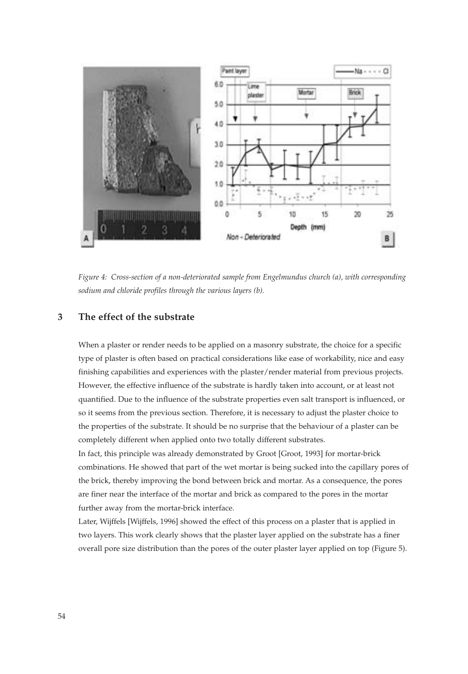

*Figure 4: Cross-section of a non-deteriorated sample from Engelmundus church (a), with corresponding sodium and chloride profiles through the various layers (b).*

## **3 The effect of the substrate**

When a plaster or render needs to be applied on a masonry substrate, the choice for a specific type of plaster is often based on practical considerations like ease of workability, nice and easy finishing capabilities and experiences with the plaster/render material from previous projects. However, the effective influence of the substrate is hardly taken into account, or at least not quantified. Due to the influence of the substrate properties even salt transport is influenced, or so it seems from the previous section. Therefore, it is necessary to adjust the plaster choice to the properties of the substrate. It should be no surprise that the behaviour of a plaster can be completely different when applied onto two totally different substrates.

In fact, this principle was already demonstrated by Groot [Groot, 1993] for mortar-brick combinations. He showed that part of the wet mortar is being sucked into the capillary pores of the brick, thereby improving the bond between brick and mortar. As a consequence, the pores are finer near the interface of the mortar and brick as compared to the pores in the mortar further away from the mortar-brick interface.

Later, Wijffels [Wijffels, 1996] showed the effect of this process on a plaster that is applied in two layers. This work clearly shows that the plaster layer applied on the substrate has a finer overall pore size distribution than the pores of the outer plaster layer applied on top (Figure 5).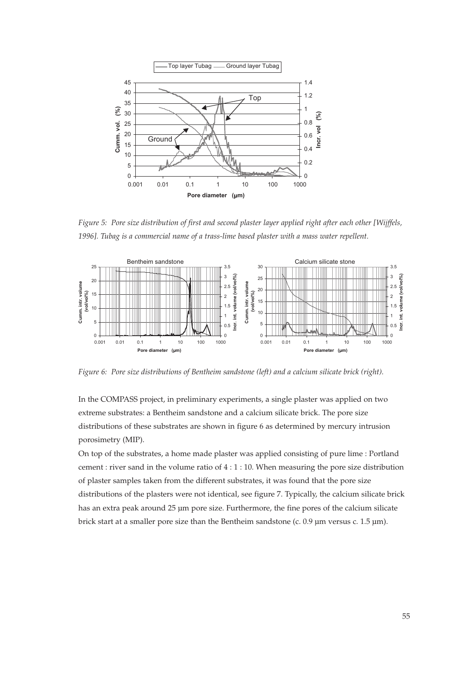

*Figure 5: Pore size distribution of first and second plaster layer applied right after each other [Wijffels, 1996]. Tubag is a commercial name of a trass-lime based plaster with a mass water repellent.* 



*Figure 6: Pore size distributions of Bentheim sandstone (left) and a calcium silicate brick (right).*

In the COMPASS project, in preliminary experiments, a single plaster was applied on two extreme substrates: a Bentheim sandstone and a calcium silicate brick. The pore size distributions of these substrates are shown in figure 6 as determined by mercury intrusion porosimetry (MIP).

On top of the substrates, a home made plaster was applied consisting of pure lime : Portland cement : river sand in the volume ratio of  $4:1:10$ . When measuring the pore size distribution of plaster samples taken from the different substrates, it was found that the pore size distributions of the plasters were not identical, see figure 7. Typically, the calcium silicate brick has an extra peak around 25 µm pore size. Furthermore, the fine pores of the calcium silicate brick start at a smaller pore size than the Bentheim sandstone (c. 0.9 µm versus c. 1.5 µm).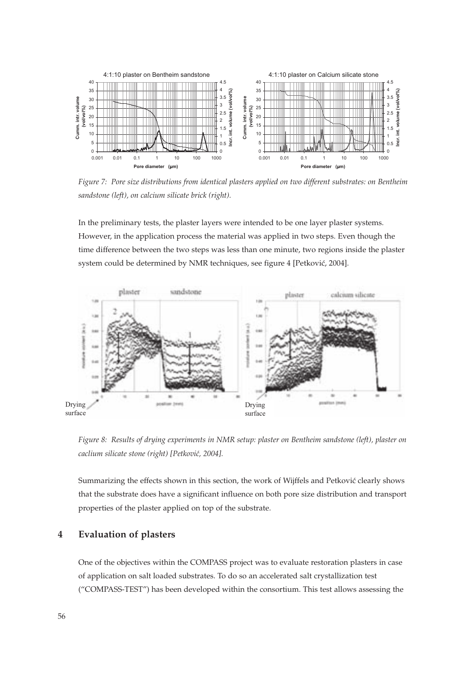

*Figure 7: Pore size distributions from identical plasters applied on two different substrates: on Bentheim sandstone (left), on calcium silicate brick (right).*

In the preliminary tests, the plaster layers were intended to be one layer plaster systems. However, in the application process the material was applied in two steps. Even though the time difference between the two steps was less than one minute, two regions inside the plaster system could be determined by NMR techniques, see figure 4 [Petković, 2004].



*Figure 8: Results of drying experiments in NMR setup: plaster on Bentheim sandstone (left), plaster on caclium silicate stone (right) [Petkovic´, 2004].*

Summarizing the effects shown in this section, the work of Wijffels and Petković clearly shows that the substrate does have a significant influence on both pore size distribution and transport properties of the plaster applied on top of the substrate.

## **4 Evaluation of plasters**

One of the objectives within the COMPASS project was to evaluate restoration plasters in case of application on salt loaded substrates. To do so an accelerated salt crystallization test ("COMPASS-TEST") has been developed within the consortium. This test allows assessing the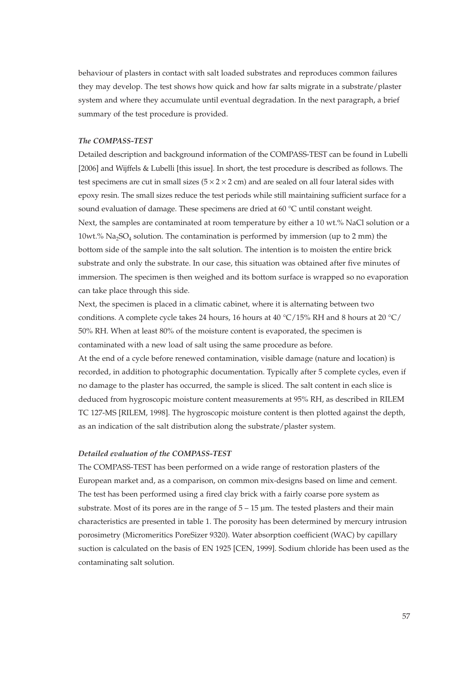behaviour of plasters in contact with salt loaded substrates and reproduces common failures they may develop. The test shows how quick and how far salts migrate in a substrate/plaster system and where they accumulate until eventual degradation. In the next paragraph, a brief summary of the test procedure is provided.

#### *The COMPASS-TEST*

Detailed description and background information of the COMPASS-TEST can be found in Lubelli [2006] and Wijffels & Lubelli [this issue]. In short, the test procedure is described as follows. The test specimens are cut in small sizes ( $5 \times 2 \times 2$  cm) and are sealed on all four lateral sides with epoxy resin. The small sizes reduce the test periods while still maintaining sufficient surface for a sound evaluation of damage. These specimens are dried at 60 °C until constant weight. Next, the samples are contaminated at room temperature by either a 10 wt.% NaCl solution or a 10wt.%  $Na<sub>2</sub>SO<sub>4</sub>$  solution. The contamination is performed by immersion (up to 2 mm) the bottom side of the sample into the salt solution. The intention is to moisten the entire brick substrate and only the substrate. In our case, this situation was obtained after five minutes of immersion. The specimen is then weighed and its bottom surface is wrapped so no evaporation can take place through this side.

Next, the specimen is placed in a climatic cabinet, where it is alternating between two conditions. A complete cycle takes 24 hours, 16 hours at 40 °C/15% RH and 8 hours at 20 °C/ 50% RH. When at least 80% of the moisture content is evaporated, the specimen is contaminated with a new load of salt using the same procedure as before.

At the end of a cycle before renewed contamination, visible damage (nature and location) is recorded, in addition to photographic documentation. Typically after 5 complete cycles, even if no damage to the plaster has occurred, the sample is sliced. The salt content in each slice is deduced from hygroscopic moisture content measurements at 95% RH, as described in RILEM TC 127-MS [RILEM, 1998]. The hygroscopic moisture content is then plotted against the depth, as an indication of the salt distribution along the substrate/plaster system.

#### *Detailed evaluation of the COMPASS-TEST*

The COMPASS-TEST has been performed on a wide range of restoration plasters of the European market and, as a comparison, on common mix-designs based on lime and cement. The test has been performed using a fired clay brick with a fairly coarse pore system as substrate. Most of its pores are in the range of  $5 - 15$   $\mu$ m. The tested plasters and their main characteristics are presented in table 1. The porosity has been determined by mercury intrusion porosimetry (Micromeritics PoreSizer 9320). Water absorption coefficient (WAC) by capillary suction is calculated on the basis of EN 1925 [CEN, 1999]. Sodium chloride has been used as the contaminating salt solution.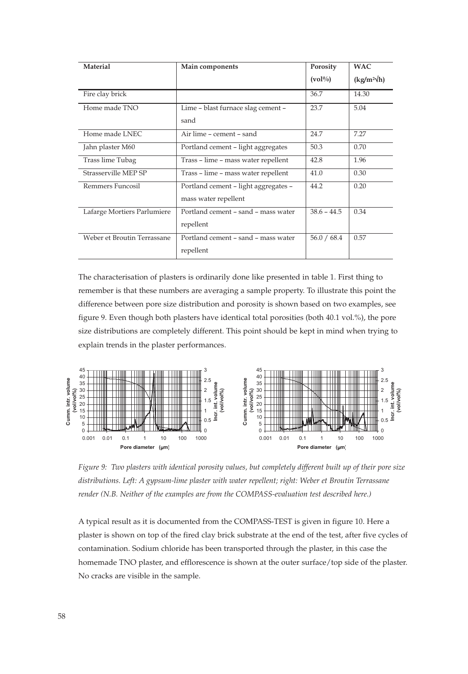| Material                    | Main components                      | Porosity                     | <b>WAC</b>         |
|-----------------------------|--------------------------------------|------------------------------|--------------------|
|                             |                                      | $\left(\mathrm{vol}\%right)$ | $(kg/m^2\sqrt{h})$ |
| Fire clay brick             |                                      | 36.7                         | 14.30              |
| Home made TNO               | Lime - blast furnace slag cement -   | 23.7                         | 5.04               |
|                             | sand                                 |                              |                    |
| Home made LNEC              | Air lime - cement - sand             | 24.7                         | 7.27               |
| Jahn plaster M60            | Portland cement - light aggregates   | 50.3                         | 0.70               |
| Trass lime Tubag            | Trass - lime - mass water repellent  | 42.8                         | 1.96               |
| Strasserville MEP SP        | Trass - lime - mass water repellent  | 41.0                         | 0.30               |
| Remmers Funcosil            | Portland cement - light aggregates - | 44.2                         | 0.20               |
|                             | mass water repellent                 |                              |                    |
| Lafarge Mortiers Parlumiere | Portland cement - sand - mass water  | $38.6 - 44.5$                | 0.34               |
|                             | repellent                            |                              |                    |
| Weber et Broutin Terrassane | Portland cement - sand - mass water  | 56.0 / 68.4                  | 0.57               |
|                             | repellent                            |                              |                    |

The characterisation of plasters is ordinarily done like presented in table 1. First thing to remember is that these numbers are averaging a sample property. To illustrate this point the difference between pore size distribution and porosity is shown based on two examples, see figure 9. Even though both plasters have identical total porosities (both 40.1 vol.%), the pore size distributions are completely different. This point should be kept in mind when trying to explain trends in the plaster performances.



*Figure 9: Two plasters with identical porosity values, but completely different built up of their pore size distributions. Left: A gypsum-lime plaster with water repellent; right: Weber et Broutin Terrassane render (N.B. Neither of the examples are from the COMPASS-evaluation test described here.)*

A typical result as it is documented from the COMPASS-TEST is given in figure 10. Here a plaster is shown on top of the fired clay brick substrate at the end of the test, after five cycles of contamination. Sodium chloride has been transported through the plaster, in this case the homemade TNO plaster, and efflorescence is shown at the outer surface/top side of the plaster. No cracks are visible in the sample.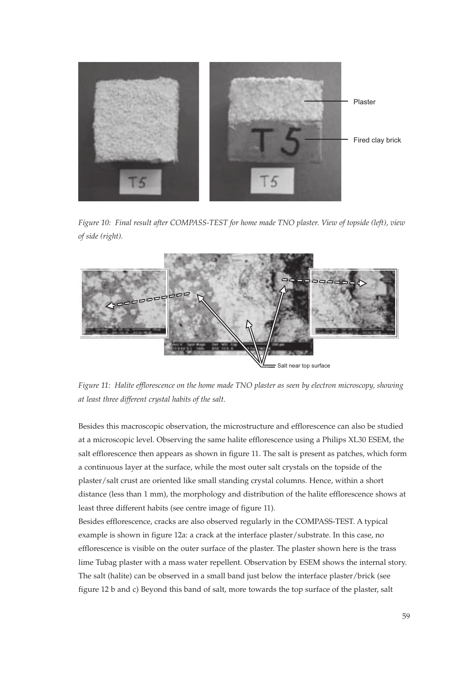

*Figure 10: Final result after COMPASS-TEST for home made TNO plaster. View of topside (left), view of side (right).*



*Figure 11: Halite efflorescence on the home made TNO plaster as seen by electron microscopy, showing at least three different crystal habits of the salt.*

Besides this macroscopic observation, the microstructure and efflorescence can also be studied at a microscopic level. Observing the same halite efflorescence using a Philips XL30 ESEM, the salt efflorescence then appears as shown in figure 11. The salt is present as patches, which form a continuous layer at the surface, while the most outer salt crystals on the topside of the plaster/salt crust are oriented like small standing crystal columns. Hence, within a short distance (less than 1 mm), the morphology and distribution of the halite efflorescence shows at least three different habits (see centre image of figure 11).

Besides efflorescence, cracks are also observed regularly in the COMPASS-TEST. A typical example is shown in figure 12a: a crack at the interface plaster/substrate. In this case, no efflorescence is visible on the outer surface of the plaster. The plaster shown here is the trass lime Tubag plaster with a mass water repellent. Observation by ESEM shows the internal story. The salt (halite) can be observed in a small band just below the interface plaster/brick (see figure 12 b and c) Beyond this band of salt, more towards the top surface of the plaster, salt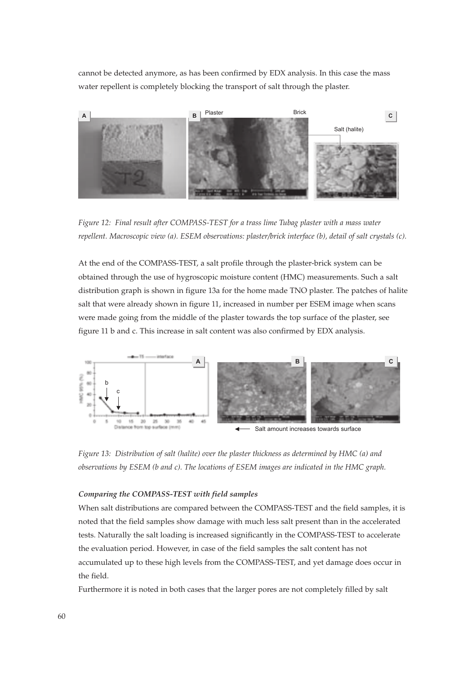cannot be detected anymore, as has been confirmed by EDX analysis. In this case the mass water repellent is completely blocking the transport of salt through the plaster.



*Figure 12: Final result after COMPASS-TEST for a trass lime Tubag plaster with a mass water repellent. Macroscopic view (a). ESEM observations: plaster/brick interface (b), detail of salt crystals (c).*

At the end of the COMPASS-TEST, a salt profile through the plaster-brick system can be obtained through the use of hygroscopic moisture content (HMC) measurements. Such a salt distribution graph is shown in figure 13a for the home made TNO plaster. The patches of halite salt that were already shown in figure 11, increased in number per ESEM image when scans were made going from the middle of the plaster towards the top surface of the plaster, see figure 11 b and c. This increase in salt content was also confirmed by EDX analysis.



*Figure 13: Distribution of salt (halite) over the plaster thickness as determined by HMC (a) and observations by ESEM (b and c). The locations of ESEM images are indicated in the HMC graph.*

#### *Comparing the COMPASS-TEST with field samples*

When salt distributions are compared between the COMPASS-TEST and the field samples, it is noted that the field samples show damage with much less salt present than in the accelerated tests. Naturally the salt loading is increased significantly in the COMPASS-TEST to accelerate the evaluation period. However, in case of the field samples the salt content has not accumulated up to these high levels from the COMPASS-TEST, and yet damage does occur in the field.

Furthermore it is noted in both cases that the larger pores are not completely filled by salt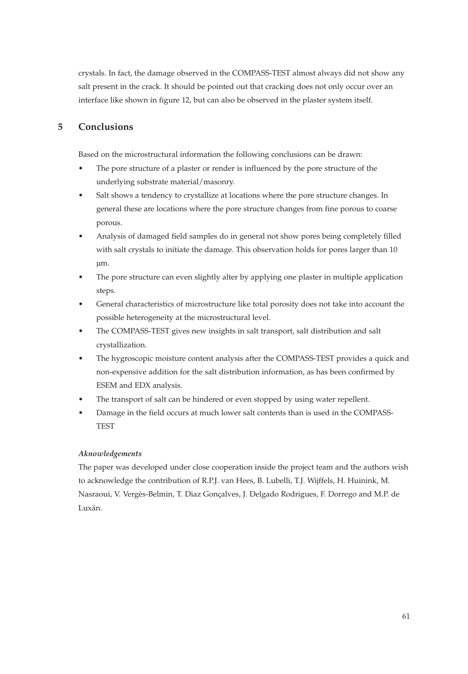crystals. In fact, the damage observed in the COMPASS-TEST almost always did not show any salt present in the crack. It should be pointed out that cracking does not only occur over an interface like shown in figure 12, but can also be observed in the plaster system itself.

## **5 Conclusions**

Based on the microstructural information the following conclusions can be drawn:

- The pore structure of a plaster or render is influenced by the pore structure of the underlying substrate material/masonry.
- Salt shows a tendency to crystallize at locations where the pore structure changes. In general these are locations where the pore structure changes from fine porous to coarse porous.
- Analysis of damaged field samples do in general not show pores being completely filled with salt crystals to initiate the damage. This observation holds for pores larger than 10 µm.
- The pore structure can even slightly alter by applying one plaster in multiple application steps.
- General characteristics of microstructure like total porosity does not take into account the possible heterogeneity at the microstructural level.
- The COMPASS-TEST gives new insights in salt transport, salt distribution and salt crystallization.
- The hygroscopic moisture content analysis after the COMPASS-TEST provides a quick and non-expensive addition for the salt distribution information, as has been confirmed by ESEM and EDX analysis.
- The transport of salt can be hindered or even stopped by using water repellent.
- Damage in the field occurs at much lower salt contents than is used in the COMPASS-**TEST**

## *Aknowledgements*

The paper was developed under close cooperation inside the project team and the authors wish to acknowledge the contribution of R.P.J. van Hees, B. Lubelli, T.J. Wijffels, H. Huinink, M. Nasraoui, V. Vergès-Belmin, T. Diaz Gonçalves, J. Delgado Rodrigues, F. Dorrego and M.P. de Luxán.